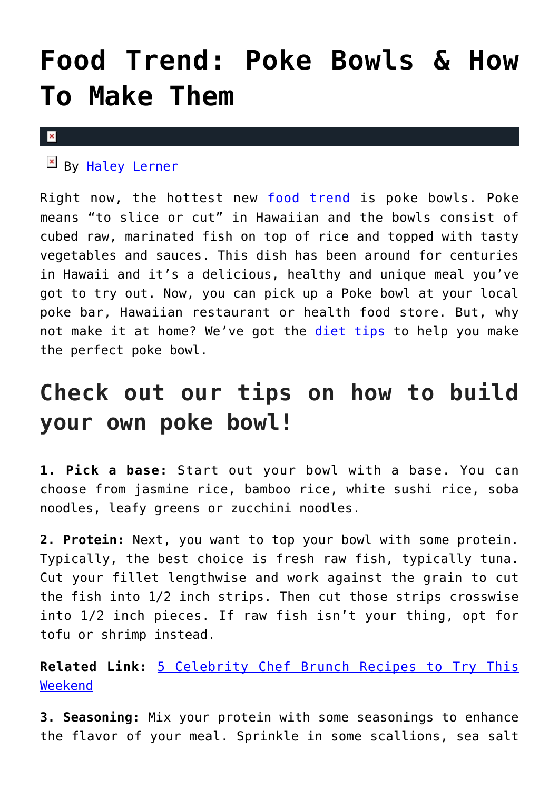## **[Food Trend: Poke Bowls & How](https://cupidspulse.com/125733/food-trend-poke-bowls/) [To Make Them](https://cupidspulse.com/125733/food-trend-poke-bowls/)**

## $\vert \mathbf{x} \vert$

By [Haley Lerner](http://cupidspulse.com/126165/haley-lerner/)

Right now, the hottest new [food trend](http://cupidspulse.com/food/) is poke bowls. Poke means "to slice or cut" in Hawaiian and the bowls consist of cubed raw, marinated fish on top of rice and topped with tasty vegetables and sauces. This dish has been around for centuries in Hawaii and it's a delicious, healthy and unique meal you've got to try out. Now, you can pick up a Poke bowl at your local poke bar, Hawaiian restaurant or health food store. But, why not make it at home? We've got the [diet tips](http://cupidspulse.com/fitness/) to help you make the perfect poke bowl.

## **Check out our tips on how to build your own poke bowl!**

**1. Pick a base:** Start out your bowl with a base. You can choose from jasmine rice, bamboo rice, white sushi rice, soba noodles, leafy greens or zucchini noodles.

**2. Protein:** Next, you want to top your bowl with some protein. Typically, the best choice is fresh raw fish, typically tuna. Cut your fillet lengthwise and work against the grain to cut the fish into 1/2 inch strips. Then cut those strips crosswise into 1/2 inch pieces. If raw fish isn't your thing, opt for tofu or shrimp instead.

**Related Link:** [5 Celebrity Chef Brunch Recipes to Try This](http://cupidspulse.com/121295/celebrity-chef-brunch-recipes/) [Weekend](http://cupidspulse.com/121295/celebrity-chef-brunch-recipes/)

**3. Seasoning:** Mix your protein with some seasonings to enhance the flavor of your meal. Sprinkle in some scallions, sea salt